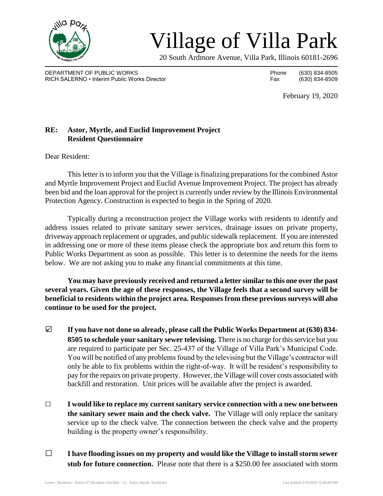

## Village of Villa Park

20 South Ardmore Avenue, Villa Park, Illinois 60181-2696

DEPARTMENT OF PUBLIC WORKS **Phone** (630) 834-8505 RICH SALERNO • Interim Public Works Director Fax (630) 834-8509

February 19, 2020

## **RE: Astor, Myrtle, and Euclid Improvement Project Resident Questionnaire**

Dear Resident:

This letter is to inform you that the Village is finalizing preparations for the combined Astor and Myrtle Improvement Project and Euclid Avenue Improvement Project. The project has already been bid and the loan approval for the project is currently under review by the Illinois Environmental Protection Agency. Construction is expected to begin in the Spring of 2020.

Typically during a reconstruction project the Village works with residents to identify and address issues related to private sanitary sewer services, drainage issues on private property, driveway approach replacement or upgrades, and public sidewalk replacement. If you are interested in addressing one or more of these items please check the appropriate box and return this form to Public Works Department as soon as possible. This letter is to determine the needs for the items below. We are not asking you to make any financial commitments at this time.

**You may have previously received and returned a letter similar to this one over the past several years. Given the age of these responses, the Village feels that a second survey will be beneficial to residents within the project area. Responses from these previous surveys will also continue to be used for the project.**

- □ **If you have not done so already, please call the Public Works Department at (630) 834- 8505 to schedule your sanitary sewer televising.** There is no charge for this service but you are required to participate per Sec. 25-437 of the Village of Villa Park's Municipal Code. You will be notified of any problems found by the televising but the Village's contractor will only be able to fix problems within the right-of-way. It will be resident's responsibility to pay for the repairs on private property. However, the Village will cover costs associated with backfill and restoration. Unit prices will be available after the project is awarded.
- □ **I would like to replace my current sanitary service connection with a new one between the sanitary sewer main and the check valve.** The Village will only replace the sanitary service up to the check valve. The connection between the check valve and the property building is the property owner's responsibility.
- □ **I have flooding issues on my property and would like the Village to install storm sewer stub for future connection.** Please note that there is a \$250.00 fee associated with storm